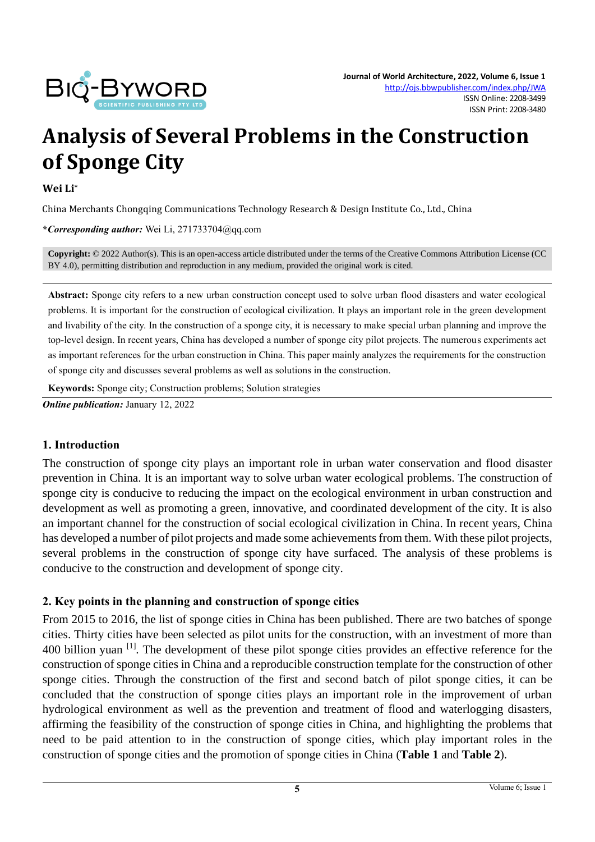

# **Analysis of Several Problems in the Construction of Sponge City**

#### **Wei Li\***

China Merchants Chongqing Communications Technology Research & Design Institute Co., Ltd., China

**\****Corresponding author:* Wei Li, 271733704@qq.com

**Copyright:** © 2022 Author(s). This is an open-access article distributed under the terms of th[e Creative Commons Attribution License \(CC](https://creativecommons.org/licenses/by/4.0/)  [BY 4.0\),](https://creativecommons.org/licenses/by/4.0/) permitting distribution and reproduction in any medium, provided the original work is cited.

**Abstract:** Sponge city refers to a new urban construction concept used to solve urban flood disasters and water ecological problems. It is important for the construction of ecological civilization. It plays an important role in the green development and livability of the city. In the construction of a sponge city, it is necessary to make special urban planning and improve the top-level design. In recent years, China has developed a number of sponge city pilot projects. The numerous experiments act as important references for the urban construction in China. This paper mainly analyzes the requirements for the construction of sponge city and discusses several problems as well as solutions in the construction.

**Keywords:** Sponge city; Construction problems; Solution strategies

*Online publication:* January 12, 2022

#### **1. Introduction**

The construction of sponge city plays an important role in urban water conservation and flood disaster prevention in China. It is an important way to solve urban water ecological problems. The construction of sponge city is conducive to reducing the impact on the ecological environment in urban construction and development as well as promoting a green, innovative, and coordinated development of the city. It is also an important channel for the construction of social ecological civilization in China. In recent years, China has developed a number of pilot projects and made some achievements from them. With these pilot projects, several problems in the construction of sponge city have surfaced. The analysis of these problems is conducive to the construction and development of sponge city.

#### **2. Key points in the planning and construction of sponge cities**

From 2015 to 2016, the list of sponge cities in China has been published. There are two batches of sponge cities. Thirty cities have been selected as pilot units for the construction, with an investment of more than 400 billion yuan <sup>[1]</sup>. The development of these pilot sponge cities provides an effective reference for the construction of sponge cities in China and a reproducible construction template for the construction of other sponge cities. Through the construction of the first and second batch of pilot sponge cities, it can be concluded that the construction of sponge cities plays an important role in the improvement of urban hydrological environment as well as the prevention and treatment of flood and waterlogging disasters, affirming the feasibility of the construction of sponge cities in China, and highlighting the problems that need to be paid attention to in the construction of sponge cities, which play important roles in the construction of sponge cities and the promotion of sponge cities in China (**Table 1** and **Table 2**).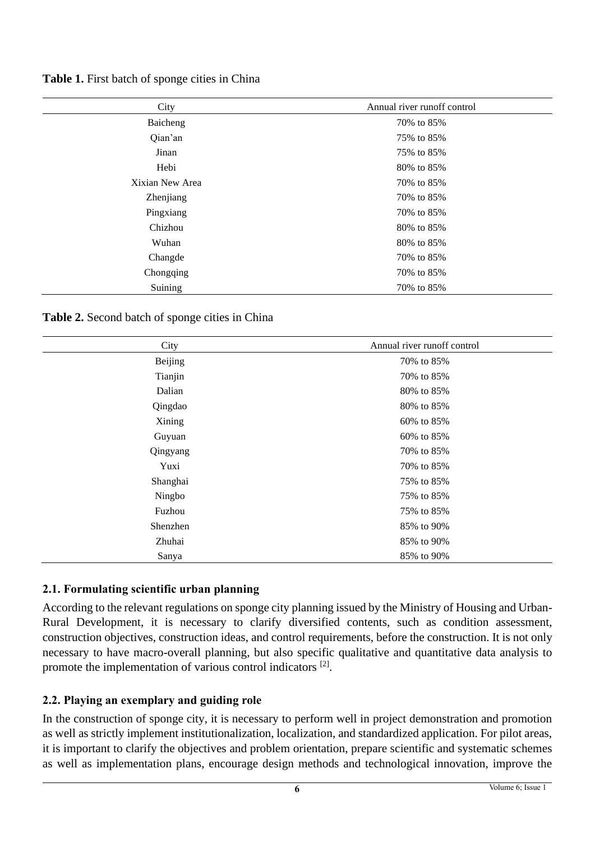| City            | Annual river runoff control |
|-----------------|-----------------------------|
| Baicheng        | 70% to 85%                  |
| Qian'an         | 75% to 85%                  |
| Jinan           | 75% to 85%                  |
| Hebi            | 80% to 85%                  |
| Xixian New Area | 70% to 85%                  |
| Zhenjiang       | 70% to 85%                  |
| Pingxiang       | 70% to 85%                  |
| Chizhou         | 80% to 85%                  |
| Wuhan           | 80% to 85%                  |
| Changde         | 70% to 85%                  |
| Chongqing       | 70% to 85%                  |
| Suining         | 70% to 85%                  |

**Table 1.** First batch of sponge cities in China

**Table 2.** Second batch of sponge cities in China

| City           | Annual river runoff control |
|----------------|-----------------------------|
| <b>Beijing</b> | 70% to 85%                  |
| Tianjin        | 70% to 85%                  |
| Dalian         | 80% to 85%                  |
| Qingdao        | 80% to 85%                  |
| Xining         | 60% to 85%                  |
| Guyuan         | 60% to 85%                  |
| Qingyang       | 70% to 85%                  |
| Yuxi           | 70% to 85%                  |
| Shanghai       | 75% to 85%                  |
| Ningbo         | 75% to 85%                  |
| Fuzhou         | 75% to 85%                  |
| Shenzhen       | 85% to 90%                  |
| Zhuhai         | 85% to 90%                  |
| Sanya          | 85% to 90%                  |

## **2.1. Formulating scientific urban planning**

According to the relevant regulations on sponge city planning issued by the Ministry of Housing and Urban-Rural Development, it is necessary to clarify diversified contents, such as condition assessment, construction objectives, construction ideas, and control requirements, before the construction. It is not only necessary to have macro-overall planning, but also specific qualitative and quantitative data analysis to promote the implementation of various control indicators <sup>[2]</sup>.

## **2.2. Playing an exemplary and guiding role**

In the construction of sponge city, it is necessary to perform well in project demonstration and promotion as well as strictly implement institutionalization, localization, and standardized application. For pilot areas, it is important to clarify the objectives and problem orientation, prepare scientific and systematic schemes as well as implementation plans, encourage design methods and technological innovation, improve the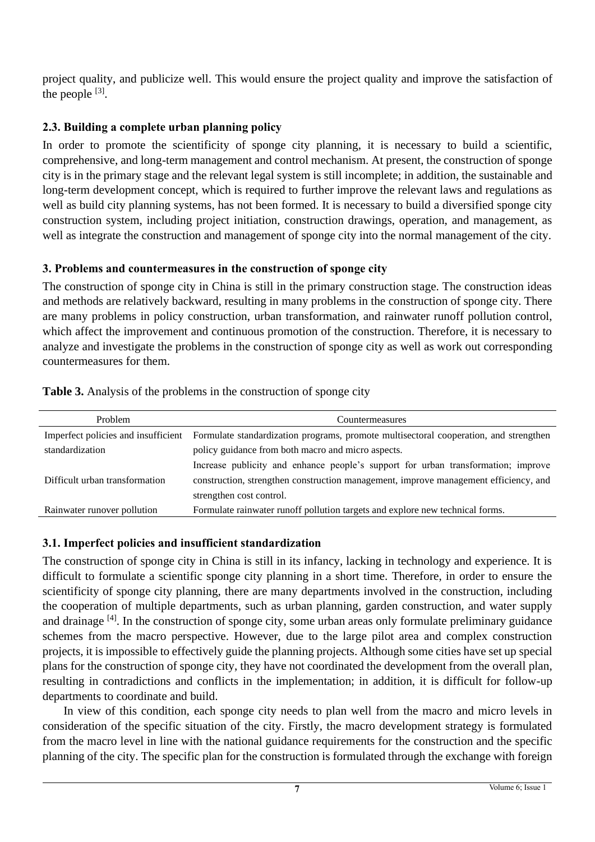project quality, and publicize well. This would ensure the project quality and improve the satisfaction of the people  $^{[3]}$ .

## **2.3. Building a complete urban planning policy**

In order to promote the scientificity of sponge city planning, it is necessary to build a scientific, comprehensive, and long-term management and control mechanism. At present, the construction of sponge city is in the primary stage and the relevant legal system is still incomplete; in addition, the sustainable and long-term development concept, which is required to further improve the relevant laws and regulations as well as build city planning systems, has not been formed. It is necessary to build a diversified sponge city construction system, including project initiation, construction drawings, operation, and management, as well as integrate the construction and management of sponge city into the normal management of the city.

## **3. Problems and countermeasures in the construction of sponge city**

The construction of sponge city in China is still in the primary construction stage. The construction ideas and methods are relatively backward, resulting in many problems in the construction of sponge city. There are many problems in policy construction, urban transformation, and rainwater runoff pollution control, which affect the improvement and continuous promotion of the construction. Therefore, it is necessary to analyze and investigate the problems in the construction of sponge city as well as work out corresponding countermeasures for them.

| Problem                        | Countermeasures                                                                                                           |
|--------------------------------|---------------------------------------------------------------------------------------------------------------------------|
|                                | Imperfect policies and insufficient Formulate standardization programs, promote multisectoral cooperation, and strengthen |
| standardization                | policy guidance from both macro and micro aspects.                                                                        |
|                                | Increase publicity and enhance people's support for urban transformation; improve                                         |
| Difficult urban transformation | construction, strengthen construction management, improve management efficiency, and                                      |
|                                | strengthen cost control.                                                                                                  |
| Rainwater runover pollution    | Formulate rainwater runoff pollution targets and explore new technical forms.                                             |

**Table 3.** Analysis of the problems in the construction of sponge city

# **3.1. Imperfect policies and insufficient standardization**

The construction of sponge city in China is still in its infancy, lacking in technology and experience. It is difficult to formulate a scientific sponge city planning in a short time. Therefore, in order to ensure the scientificity of sponge city planning, there are many departments involved in the construction, including the cooperation of multiple departments, such as urban planning, garden construction, and water supply and drainage <sup>[4]</sup>. In the construction of sponge city, some urban areas only formulate preliminary guidance schemes from the macro perspective. However, due to the large pilot area and complex construction projects, it is impossible to effectively guide the planning projects. Although some cities have set up special plans for the construction of sponge city, they have not coordinated the development from the overall plan, resulting in contradictions and conflicts in the implementation; in addition, it is difficult for follow-up departments to coordinate and build.

In view of this condition, each sponge city needs to plan well from the macro and micro levels in consideration of the specific situation of the city. Firstly, the macro development strategy is formulated from the macro level in line with the national guidance requirements for the construction and the specific planning of the city. The specific plan for the construction is formulated through the exchange with foreign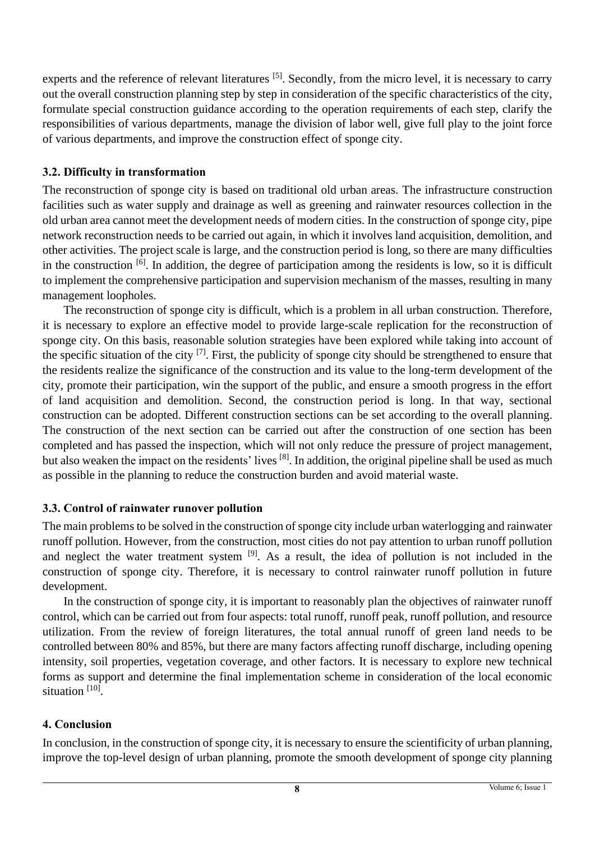experts and the reference of relevant literatures <sup>[5]</sup>. Secondly, from the micro level, it is necessary to carry out the overall construction planning step by step in consideration of the specific characteristics of the city, formulate special construction guidance according to the operation requirements of each step, clarify the responsibilities of various departments, manage the division of labor well, give full play to the joint force of various departments, and improve the construction effect of sponge city.

## **3.2. Difficulty in transformation**

The reconstruction of sponge city is based on traditional old urban areas. The infrastructure construction facilities such as water supply and drainage as well as greening and rainwater resources collection in the old urban area cannot meet the development needs of modern cities. In the construction of sponge city, pipe network reconstruction needs to be carried out again, in which it involves land acquisition, demolition, and other activities. The project scale is large, and the construction period is long, so there are many difficulties in the construction  $[6]$ . In addition, the degree of participation among the residents is low, so it is difficult to implement the comprehensive participation and supervision mechanism of the masses, resulting in many management loopholes.

The reconstruction of sponge city is difficult, which is a problem in all urban construction. Therefore, it is necessary to explore an effective model to provide large-scale replication for the reconstruction of sponge city. On this basis, reasonable solution strategies have been explored while taking into account of the specific situation of the city  $[7]$ . First, the publicity of sponge city should be strengthened to ensure that the residents realize the significance of the construction and its value to the long-term development of the city, promote their participation, win the support of the public, and ensure a smooth progress in the effort of land acquisition and demolition. Second, the construction period is long. In that way, sectional construction can be adopted. Different construction sections can be set according to the overall planning. The construction of the next section can be carried out after the construction of one section has been completed and has passed the inspection, which will not only reduce the pressure of project management, but also weaken the impact on the residents' lives [8]. In addition, the original pipeline shall be used as much as possible in the planning to reduce the construction burden and avoid material waste.

## **3.3. Control of rainwater runover pollution**

The main problems to be solved in the construction of sponge city include urban waterlogging and rainwater runoff pollution. However, from the construction, most cities do not pay attention to urban runoff pollution and neglect the water treatment system <sup>[9]</sup>. As a result, the idea of pollution is not included in the construction of sponge city. Therefore, it is necessary to control rainwater runoff pollution in future development.

In the construction of sponge city, it is important to reasonably plan the objectives of rainwater runoff control, which can be carried out from four aspects: total runoff, runoff peak, runoff pollution, and resource utilization. From the review of foreign literatures, the total annual runoff of green land needs to be controlled between 80% and 85%, but there are many factors affecting runoff discharge, including opening intensity, soil properties, vegetation coverage, and other factors. It is necessary to explore new technical forms as support and determine the final implementation scheme in consideration of the local economic situation<sup>[10]</sup>.

# **4. Conclusion**

In conclusion, in the construction of sponge city, it is necessary to ensure the scientificity of urban planning, improve the top-level design of urban planning, promote the smooth development of sponge city planning